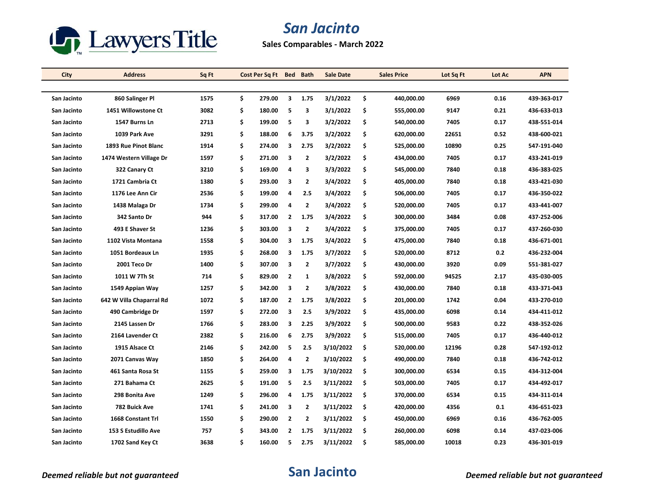

## *San Jacinto*

**Sales Comparables - March 2022**

| City        | <b>Address</b>           | Sq Ft | Cost Per Sq Ft | <b>Bed</b>     | <b>Bath</b>    | <b>Sale Date</b> | <b>Sales Price</b> | Lot Sq Ft | Lot Ac | <b>APN</b>  |
|-------------|--------------------------|-------|----------------|----------------|----------------|------------------|--------------------|-----------|--------|-------------|
|             |                          |       |                |                |                |                  |                    |           |        |             |
| San Jacinto | 860 Salinger Pl          | 1575  | \$<br>279.00   | 3              | 1.75           | 3/1/2022         | \$<br>440,000.00   | 6969      | 0.16   | 439-363-017 |
| San Jacinto | 1451 Willowstone Ct      | 3082  | \$<br>180.00   | 5              | 3              | 3/1/2022         | \$<br>555,000.00   | 9147      | 0.21   | 436-633-013 |
| San Jacinto | 1547 Burns Ln            | 2713  | \$<br>199.00   | 5              | 3              | 3/2/2022         | \$<br>540,000.00   | 7405      | 0.17   | 438-551-014 |
| San Jacinto | 1039 Park Ave            | 3291  | \$<br>188.00   | 6              | 3.75           | 3/2/2022         | \$<br>620,000.00   | 22651     | 0.52   | 438-600-021 |
| San Jacinto | 1893 Rue Pinot Blanc     | 1914  | \$<br>274.00   | 3              | 2.75           | 3/2/2022         | \$<br>525,000.00   | 10890     | 0.25   | 547-191-040 |
| San Jacinto | 1474 Western Village Dr  | 1597  | \$<br>271.00   | 3              | $\mathbf{2}$   | 3/2/2022         | \$<br>434,000.00   | 7405      | 0.17   | 433-241-019 |
| San Jacinto | 322 Canary Ct            | 3210  | \$<br>169.00   | 4              | 3              | 3/3/2022         | \$<br>545,000.00   | 7840      | 0.18   | 436-383-025 |
| San Jacinto | 1721 Cambria Ct          | 1380  | \$<br>293.00   | 3              | $\mathbf{2}$   | 3/4/2022         | \$<br>405,000.00   | 7840      | 0.18   | 433-421-030 |
| San Jacinto | 1176 Lee Ann Cir         | 2536  | \$<br>199.00   | 4              | 2.5            | 3/4/2022         | \$<br>506,000.00   | 7405      | 0.17   | 436-350-022 |
| San Jacinto | 1438 Malaga Dr           | 1734  | \$<br>299.00   | 4              | $\mathbf{2}$   | 3/4/2022         | \$<br>520,000.00   | 7405      | 0.17   | 433-441-007 |
| San Jacinto | 342 Santo Dr             | 944   | \$<br>317.00   | $\overline{2}$ | 1.75           | 3/4/2022         | \$<br>300,000.00   | 3484      | 0.08   | 437-252-006 |
| San Jacinto | 493 E Shaver St          | 1236  | \$<br>303.00   | 3              | $\mathbf{2}$   | 3/4/2022         | \$<br>375,000.00   | 7405      | 0.17   | 437-260-030 |
| San Jacinto | 1102 Vista Montana       | 1558  | \$<br>304.00   | 3              | 1.75           | 3/4/2022         | \$<br>475,000.00   | 7840      | 0.18   | 436-671-001 |
| San Jacinto | 1051 Bordeaux Ln         | 1935  | \$<br>268.00   | 3              | 1.75           | 3/7/2022         | \$<br>520,000.00   | 8712      | 0.2    | 436-232-004 |
| San Jacinto | 2001 Teco Dr             | 1400  | \$<br>307.00   | 3              | $\mathbf{2}$   | 3/7/2022         | \$<br>430,000.00   | 3920      | 0.09   | 551-381-027 |
| San Jacinto | 1011 W 7Th St            | 714   | \$<br>829.00   | $\overline{2}$ | 1              | 3/8/2022         | \$<br>592,000.00   | 94525     | 2.17   | 435-030-005 |
| San Jacinto | 1549 Appian Way          | 1257  | \$<br>342.00   | 3              | 2              | 3/8/2022         | \$<br>430,000.00   | 7840      | 0.18   | 433-371-043 |
| San Jacinto | 642 W Villa Chaparral Rd | 1072  | \$<br>187.00   | $\overline{2}$ | 1.75           | 3/8/2022         | \$<br>201,000.00   | 1742      | 0.04   | 433-270-010 |
| San Jacinto | 490 Cambridge Dr         | 1597  | \$<br>272.00   | 3              | 2.5            | 3/9/2022         | \$<br>435,000.00   | 6098      | 0.14   | 434 411 012 |
| San Jacinto | 2145 Lassen Dr           | 1766  | \$<br>283.00   | 3              | 2.25           | 3/9/2022         | \$<br>500,000.00   | 9583      | 0.22   | 438-352-026 |
| San Jacinto | 2164 Lavender Ct         | 2382  | \$<br>216.00   | 6              | 2.75           | 3/9/2022         | \$<br>515,000.00   | 7405      | 0.17   | 436-440-012 |
| San Jacinto | 1915 Alsace Ct           | 2146  | \$<br>242.00   | 5              | 2.5            | 3/10/2022        | \$<br>520,000.00   | 12196     | 0.28   | 547 192 012 |
| San Jacinto | 2071 Canvas Way          | 1850  | \$<br>264.00   | 4              | $\mathbf{2}$   | 3/10/2022        | \$<br>490,000.00   | 7840      | 0.18   | 436-742-012 |
| San Jacinto | 461 Santa Rosa St        | 1155  | \$<br>259.00   | 3              | 1.75           | 3/10/2022        | \$<br>300,000.00   | 6534      | 0.15   | 434-312-004 |
| San Jacinto | 271 Bahama Ct            | 2625  | \$<br>191.00   | 5              | 2.5            | 3/11/2022        | \$<br>503,000.00   | 7405      | 0.17   | 434-492-017 |
| San Jacinto | 298 Bonita Ave           | 1249  | \$<br>296.00   | 4              | 1.75           | 3/11/2022        | \$<br>370,000.00   | 6534      | 0.15   | 434-311-014 |
| San Jacinto | 782 Buick Ave            | 1741  | \$<br>241.00   | 3              | 2              | 3/11/2022        | \$<br>420,000.00   | 4356      | 0.1    | 436-651-023 |
| San Jacinto | 1668 Constant Trl        | 1550  | \$<br>290.00   | $\overline{2}$ | $\overline{2}$ | 3/11/2022        | \$<br>450,000.00   | 6969      | 0.16   | 436-762-005 |
| San Jacinto | 153 S Estudillo Ave      | 757   | \$<br>343.00   | $\overline{2}$ | 1.75           | 3/11/2022        | \$<br>260,000.00   | 6098      | 0.14   | 437-023-006 |
| San Jacinto | 1702 Sand Key Ct         | 3638  | \$<br>160.00   | 5              | 2.75           | 3/11/2022        | \$<br>585,000.00   | 10018     | 0.23   | 436-301-019 |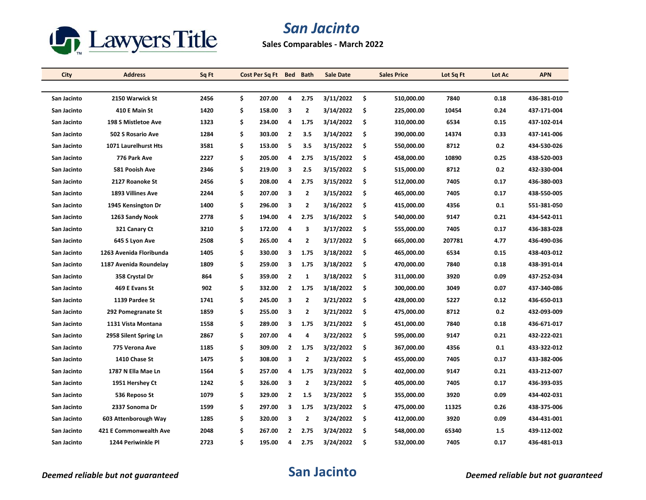

## *San Jacinto*

**Sales Comparables - March 2022**

| City        | <b>Address</b>           | Sq Ft | Cost Per Sq Ft | <b>Bed</b>     | <b>Bath</b>             | <b>Sale Date</b> |     | <b>Sales Price</b> | Lot Sq Ft | Lot Ac | <b>APN</b>  |
|-------------|--------------------------|-------|----------------|----------------|-------------------------|------------------|-----|--------------------|-----------|--------|-------------|
|             |                          |       |                |                |                         |                  |     |                    |           |        |             |
| San Jacinto | 2150 Warwick St          | 2456  | \$<br>207.00   | 4              | 2.75                    | 3/11/2022        | \$  | 510,000.00         | 7840      | 0.18   | 436-381-010 |
| San Jacinto | 410 E Main St            | 1420  | \$<br>158.00   | з              | 2                       | 3/14/2022        | \$  | 225,000.00         | 10454     | 0.24   | 437-171-004 |
| San Jacinto | 198 S Mistletoe Ave      | 1323  | \$<br>234.00   | 4              | 1.75                    | 3/14/2022        | \$  | 310,000.00         | 6534      | 0.15   | 437-102-014 |
| San Jacinto | <b>502 S Rosario Ave</b> | 1284  | \$<br>303.00   | $\overline{2}$ | 3.5                     | 3/14/2022        | \$  | 390,000.00         | 14374     | 0.33   | 437 141 006 |
| San Jacinto | 1071 Laurelhurst Hts     | 3581  | \$<br>153.00   | 5              | 3.5                     | 3/15/2022        | \$  | 550,000.00         | 8712      | 0.2    | 434-530-026 |
| San Jacinto | 776 Park Ave             | 2227  | \$<br>205.00   | 4              | 2.75                    | 3/15/2022        | \$  | 458,000.00         | 10890     | 0.25   | 438-520-003 |
| San Jacinto | 581 Pooish Ave           | 2346  | \$<br>219.00   | 3              | 2.5                     | 3/15/2022        | \$  | 515,000.00         | 8712      | 0.2    | 432-330-004 |
| San Jacinto | 2127 Roanoke St          | 2456  | \$<br>208.00   | 4              | 2.75                    | 3/15/2022        | \$  | 512,000.00         | 7405      | 0.17   | 436-380-003 |
| San Jacinto | 1893 Villines Ave        | 2244  | \$<br>207.00   | 3              | 2                       | 3/15/2022        | \$  | 465,000.00         | 7405      | 0.17   | 438-550-005 |
| San Jacinto | 1945 Kensington Dr       | 1400  | \$<br>296.00   | 3              | $\overline{2}$          | 3/16/2022        | \$  | 415,000.00         | 4356      | 0.1    | 551-381-050 |
| San Jacinto | 1263 Sandy Nook          | 2778  | \$<br>194.00   | 4              | 2.75                    | 3/16/2022        | -\$ | 540,000.00         | 9147      | 0.21   | 434-542-011 |
| San Jacinto | 321 Canary Ct            | 3210  | \$<br>172.00   | 4              | 3                       | 3/17/2022        | \$  | 555,000.00         | 7405      | 0.17   | 436-383-028 |
| San Jacinto | 645 S Lyon Ave           | 2508  | \$<br>265.00   | 4              | $\mathbf{2}$            | 3/17/2022        | \$  | 665,000.00         | 207781    | 4.77   | 436-490-036 |
| San Jacinto | 1263 Avenida Floribunda  | 1405  | \$<br>330.00   | 3              | 1.75                    | 3/18/2022        | \$  | 465,000.00         | 6534      | 0.15   | 438-403-012 |
| San Jacinto | 1187 Avenida Roundelay   | 1809  | \$<br>259.00   | 3              | 1.75                    | 3/18/2022        | \$  | 470,000.00         | 7840      | 0.18   | 438-391-014 |
| San Jacinto | 358 Crystal Dr           | 864   | \$<br>359.00   | $\overline{2}$ | 1                       | 3/18/2022        | \$  | 311,000.00         | 3920      | 0.09   | 437-252-034 |
| San Jacinto | 469 E Evans St           | 902   | \$<br>332.00   | $\overline{2}$ | 1.75                    | 3/18/2022        | \$  | 300,000.00         | 3049      | 0.07   | 437-340-086 |
| San Jacinto | 1139 Pardee St           | 1741  | \$<br>245.00   | 3              | $\mathbf{2}$            | 3/21/2022        | \$  | 428,000.00         | 5227      | 0.12   | 436-650-013 |
| San Jacinto | 292 Pomegranate St       | 1859  | \$<br>255.00   | 3              | $\overline{\mathbf{2}}$ | 3/21/2022        | \$  | 475,000.00         | 8712      | 0.2    | 432-093-009 |
| San Jacinto | 1131 Vista Montana       | 1558  | \$<br>289.00   | 3              | 1.75                    | 3/21/2022        | \$  | 451,000.00         | 7840      | 0.18   | 436-671-017 |
| San Jacinto | 2958 Silent Spring Ln    | 2867  | \$<br>207.00   | $\overline{a}$ | 4                       | 3/22/2022        | \$  | 595,000.00         | 9147      | 0.21   | 432-222-021 |
| San Jacinto | 775 Verona Ave           | 1185  | \$<br>309.00   | $\overline{2}$ | 1.75                    | 3/22/2022        | \$  | 367,000.00         | 4356      | 0.1    | 433-322-012 |
| San Jacinto | 1410 Chase St            | 1475  | \$<br>308.00   | 3              | 2                       | 3/23/2022        | \$  | 455,000.00         | 7405      | 0.17   | 433-382-006 |
| San Jacinto | 1787 N Ella Mae Ln       | 1564  | \$<br>257.00   | 4              | 1.75                    | 3/23/2022        | \$  | 402,000.00         | 9147      | 0.21   | 433-212-007 |
| San Jacinto | 1951 Hershey Ct          | 1242  | \$<br>326.00   | 3              | 2                       | 3/23/2022        | \$  | 405,000.00         | 7405      | 0.17   | 436-393-035 |
| San Jacinto | 536 Reposo St            | 1079  | \$<br>329.00   | $\overline{2}$ | 1.5                     | 3/23/2022        | \$  | 355,000.00         | 3920      | 0.09   | 434-402-031 |
| San Jacinto | 2337 Sonoma Dr           | 1599  | \$<br>297.00   | 3              | 1.75                    | 3/23/2022        | \$  | 475,000.00         | 11325     | 0.26   | 438-375-006 |
| San Jacinto | 603 Attenborough Way     | 1285  | \$<br>320.00   | 3              | $\mathbf{2}$            | 3/24/2022        | \$  | 412,000.00         | 3920      | 0.09   | 434-431-001 |
| San Jacinto | 421 E Commonwealth Ave   | 2048  | \$<br>267.00   | $\overline{2}$ | 2.75                    | 3/24/2022        | \$  | 548,000.00         | 65340     | 1.5    | 439-112-002 |
| San Jacinto | 1244 Periwinkle Pl       | 2723  | \$<br>195.00   | $\overline{a}$ | 2.75                    | 3/24/2022        | \$  | 532,000.00         | 7405      | 0.17   | 436-481-013 |